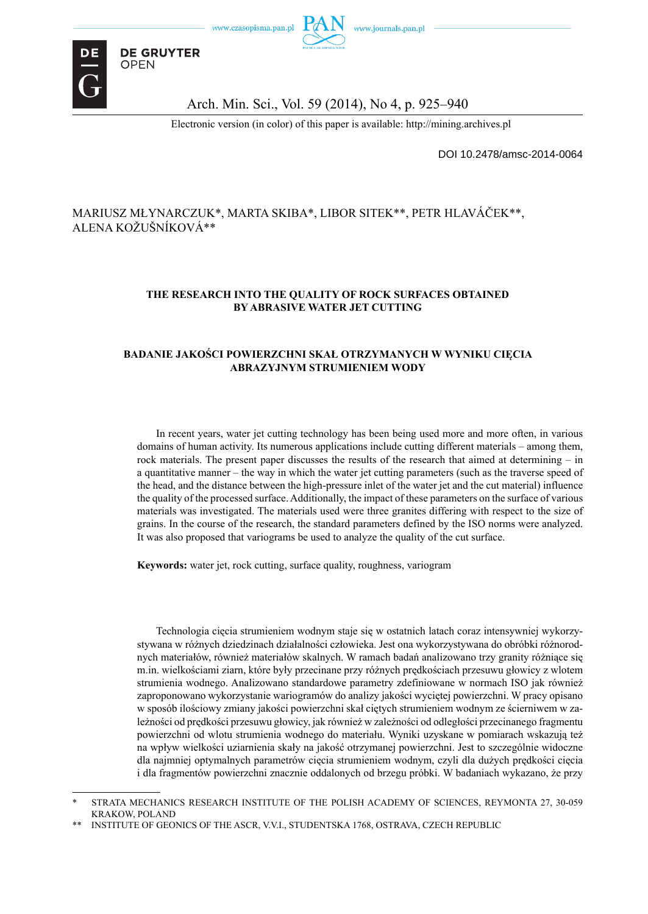

Arch. Min. Sci., Vol. 59 (2014), No 4, p. 925–940

Electronic version (in color) of this paper is available: http://mining.archives.pl

DOI 10.2478/amsc-2014-0064

#### MARIUSZ MŁYNARCZUK\*, MARTA SKIBA\*, LIBOR SITEK\*\*, PETR HLAVÁČEK\*\*, ALENA KOŽUŠNÍKOVÁ\*\*

#### **THE RESEARCH INTO THE QUALITY OF ROCK SURFACES OBTAINED BY ABRASIVE WATER JET CUTTING**

#### **BADANIE JAKOŚCI POWIERZCHNI SKAŁ OTRZYMANYCH W WYNIKU CIĘCIA ABRAZYJNYM STRUMIENIEM WODY**

In recent years, water jet cutting technology has been being used more and more often, in various domains of human activity. Its numerous applications include cutting different materials – among them, rock materials. The present paper discusses the results of the research that aimed at determining – in a quantitative manner – the way in which the water jet cutting parameters (such as the traverse speed of the head, and the distance between the high-pressure inlet of the water jet and the cut material) influence the quality of the processed surface. Additionally, the impact of these parameters on the surface of various materials was investigated. The materials used were three granites differing with respect to the size of grains. In the course of the research, the standard parameters defined by the ISO norms were analyzed. It was also proposed that variograms be used to analyze the quality of the cut surface.

**Keywords:** water jet, rock cutting, surface quality, roughness, variogram

Technologia cięcia strumieniem wodnym staje się w ostatnich latach coraz intensywniej wykorzystywana w różnych dziedzinach działalności człowieka. Jest ona wykorzystywana do obróbki różnorodnych materiałów, również materiałów skalnych. W ramach badań analizowano trzy granity różniące się m.in. wielkościami ziarn, które były przecinane przy różnych prędkościach przesuwu głowicy z wlotem strumienia wodnego. Analizowano standardowe parametry zdefiniowane w normach ISO jak również zaproponowano wykorzystanie wariogramów do analizy jakości wyciętej powierzchni. W pracy opisano w sposób ilościowy zmiany jakości powierzchni skał ciętych strumieniem wodnym ze ścierniwem w zależności od prędkości przesuwu głowicy, jak również w zależności od odległości przecinanego fragmentu powierzchni od wlotu strumienia wodnego do materiału. Wyniki uzyskane w pomiarach wskazują też na wpływ wielkości uziarnienia skały na jakość otrzymanej powierzchni. Jest to szczególnie widoczne dla najmniej optymalnych parametrów cięcia strumieniem wodnym, czyli dla dużych prędkości cięcia i dla fragmentów powierzchni znacznie oddalonych od brzegu próbki. W badaniach wykazano, że przy

STRATA MECHANICS RESEARCH INSTITUTE OF THE POLISH ACADEMY OF SCIENCES, REYMONTA 27, 30-059 KRAKOW, POLAND

<sup>\*\*</sup> INSTITUTE OF GEONICS OF THE ASCR, V.V.I., STUDENTSKA 1768, OSTRAVA, CZECH REPUBLIC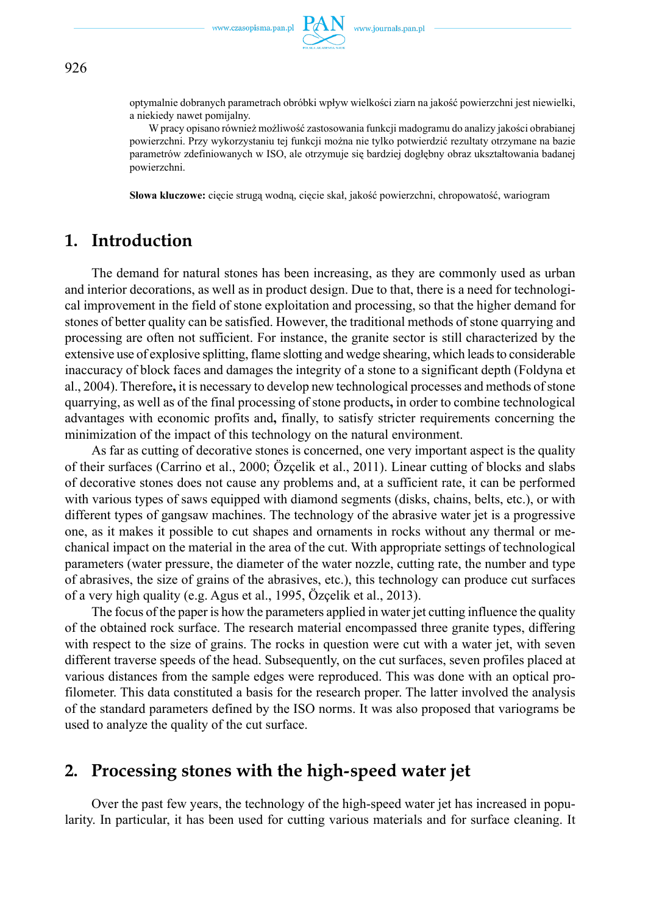

optymalnie dobranych parametrach obróbki wpływ wielkości ziarn na jakość powierzchni jest niewielki, a niekiedy nawet pomijalny.

W pracy opisano również możliwość zastosowania funkcji madogramu do analizy jakości obrabianej powierzchni. Przy wykorzystaniu tej funkcji można nie tylko potwierdzić rezultaty otrzymane na bazie parametrów zdefiniowanych w ISO, ale otrzymuje się bardziej dogłębny obraz ukształtowania badanej powierzchni.

**Słowa kluczowe:** cięcie strugą wodną, cięcie skał, jakość powierzchni, chropowatość, wariogram

## **1. Introduction**

The demand for natural stones has been increasing, as they are commonly used as urban and interior decorations, as well as in product design. Due to that, there is a need for technological improvement in the field of stone exploitation and processing, so that the higher demand for stones of better quality can be satisfied. However, the traditional methods of stone quarrying and processing are often not sufficient. For instance, the granite sector is still characterized by the extensive use of explosive splitting, flame slotting and wedge shearing, which leads to considerable inaccuracy of block faces and damages the integrity of a stone to a significant depth (Foldyna et al., 2004). Therefore**,** it is necessary to develop new technological processes and methods of stone quarrying, as well as of the final processing of stone products**,** in order to combine technological advantages with economic profits and**,** finally, to satisfy stricter requirements concerning the minimization of the impact of this technology on the natural environment.

As far as cutting of decorative stones is concerned, one very important aspect is the quality of their surfaces (Carrino et al., 2000; Özçelik et al., 2011). Linear cutting of blocks and slabs of decorative stones does not cause any problems and, at a sufficient rate, it can be performed with various types of saws equipped with diamond segments (disks, chains, belts, etc.), or with different types of gangsaw machines. The technology of the abrasive water jet is a progressive one, as it makes it possible to cut shapes and ornaments in rocks without any thermal or mechanical impact on the material in the area of the cut. With appropriate settings of technological parameters (water pressure, the diameter of the water nozzle, cutting rate, the number and type of abrasives, the size of grains of the abrasives, etc.), this technology can produce cut surfaces of a very high quality (e.g. Agus et al., 1995, Özçelik et al., 2013).

The focus of the paper is how the parameters applied in water jet cutting influence the quality of the obtained rock surface. The research material encompassed three granite types, differing with respect to the size of grains. The rocks in question were cut with a water jet, with seven different traverse speeds of the head. Subsequently, on the cut surfaces, seven profiles placed at various distances from the sample edges were reproduced. This was done with an optical profilometer. This data constituted a basis for the research proper. The latter involved the analysis of the standard parameters defined by the ISO norms. It was also proposed that variograms be used to analyze the quality of the cut surface.

## **2. Processing stones with the high-speed water jet**

Over the past few years, the technology of the high-speed water jet has increased in popularity. In particular, it has been used for cutting various materials and for surface cleaning. It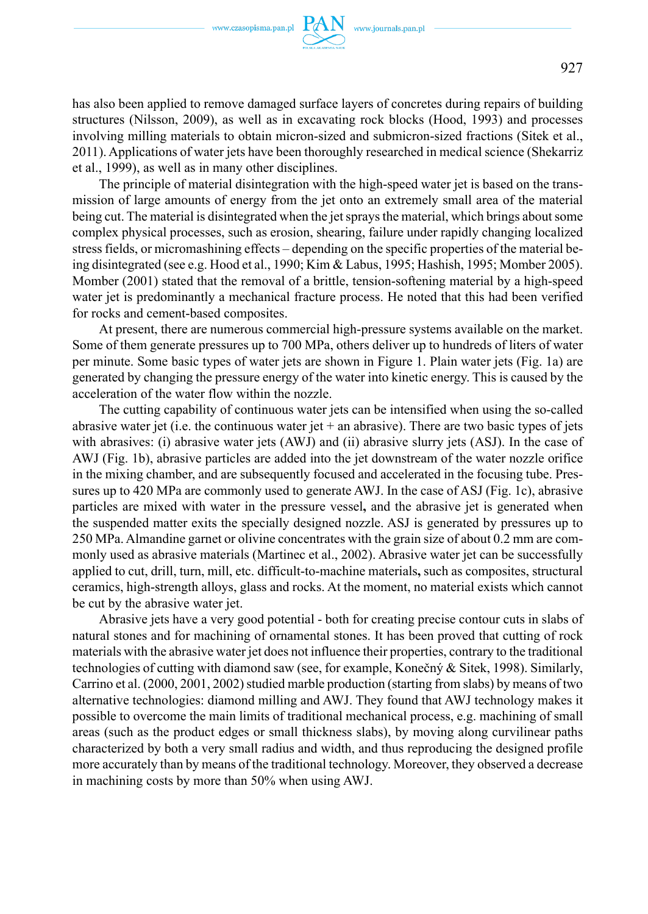

has also been applied to remove damaged surface layers of concretes during repairs of building structures (Nilsson, 2009), as well as in excavating rock blocks (Hood, 1993) and processes involving milling materials to obtain micron-sized and submicron-sized fractions (Sitek et al., 2011). Applications of water jets have been thoroughly researched in medical science (Shekarriz et al., 1999), as well as in many other disciplines.

The principle of material disintegration with the high-speed water jet is based on the transmission of large amounts of energy from the jet onto an extremely small area of the material being cut. The material is disintegrated when the jet sprays the material, which brings about some complex physical processes, such as erosion, shearing, failure under rapidly changing localized stress fields, or micromashining effects – depending on the specific properties of the material being disintegrated (see e.g. Hood et al., 1990; Kim & Labus, 1995; Hashish, 1995; Momber 2005). Momber (2001) stated that the removal of a brittle, tension-softening material by a high-speed water jet is predominantly a mechanical fracture process. He noted that this had been verified for rocks and cement-based composites.

At present, there are numerous commercial high-pressure systems available on the market. Some of them generate pressures up to 700 MPa, others deliver up to hundreds of liters of water per minute. Some basic types of water jets are shown in Figure 1. Plain water jets (Fig. 1a) are generated by changing the pressure energy of the water into kinetic energy. This is caused by the acceleration of the water flow within the nozzle.

The cutting capability of continuous water jets can be intensified when using the so-called abrasive water jet (i.e. the continuous water jet  $+$  an abrasive). There are two basic types of jets with abrasives: (i) abrasive water jets (AWJ) and (ii) abrasive slurry jets (ASJ). In the case of AWJ (Fig. 1b), abrasive particles are added into the jet downstream of the water nozzle orifice in the mixing chamber, and are subsequently focused and accelerated in the focusing tube. Pressures up to 420 MPa are commonly used to generate AWJ. In the case of ASJ (Fig. 1c), abrasive particles are mixed with water in the pressure vessel**,** and the abrasive jet is generated when the suspended matter exits the specially designed nozzle. ASJ is generated by pressures up to 250 MPa. Almandine garnet or olivine concentrates with the grain size of about 0.2 mm are commonly used as abrasive materials (Martinec et al., 2002). Abrasive water jet can be successfully applied to cut, drill, turn, mill, etc. difficult-to-machine materials**,** such as composites, structural ceramics, high-strength alloys, glass and rocks. At the moment, no material exists which cannot be cut by the abrasive water jet.

Abrasive jets have a very good potential - both for creating precise contour cuts in slabs of natural stones and for machining of ornamental stones. It has been proved that cutting of rock materials with the abrasive water jet does not influence their properties, contrary to the traditional technologies of cutting with diamond saw (see, for example, Konečný & Sitek, 1998). Similarly, Carrino et al. (2000, 2001, 2002) studied marble production (starting from slabs) by means of two alternative technologies: diamond milling and AWJ. They found that AWJ technology makes it possible to overcome the main limits of traditional mechanical process, e.g. machining of small areas (such as the product edges or small thickness slabs), by moving along curvilinear paths characterized by both a very small radius and width, and thus reproducing the designed profile more accurately than by means of the traditional technology. Moreover, they observed a decrease in machining costs by more than 50% when using AWJ.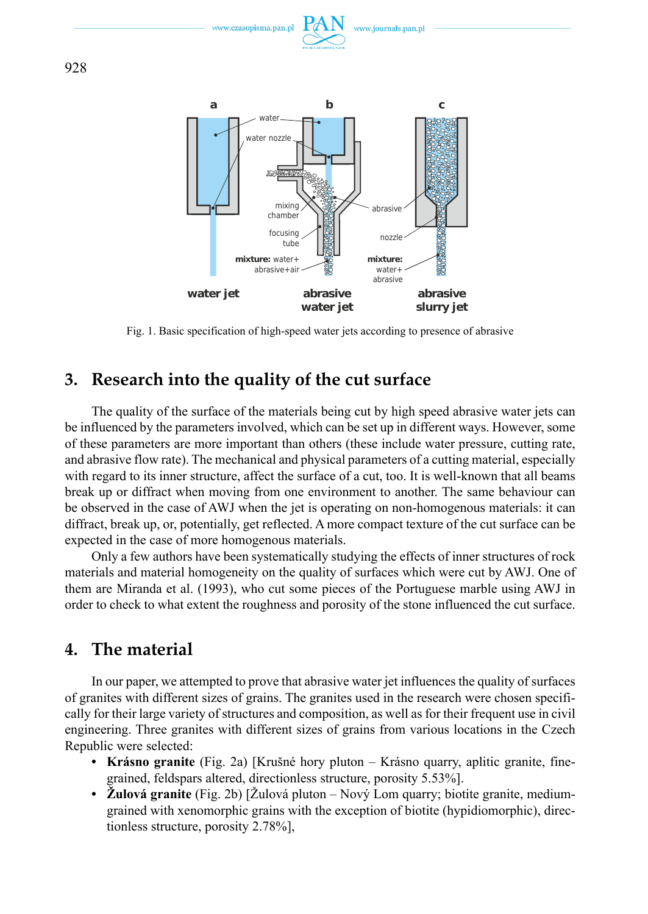



Fig. 1. Basic specification of high-speed water jets according to presence of abrasive

# **3. Research into the quality of the cut surface**

The quality of the surface of the materials being cut by high speed abrasive water jets can be influenced by the parameters involved, which can be set up in different ways. However, some of these parameters are more important than others (these include water pressure, cutting rate, and abrasive flow rate). The mechanical and physical parameters of a cutting material, especially with regard to its inner structure, affect the surface of a cut, too. It is well-known that all beams break up or diffract when moving from one environment to another. The same behaviour can be observed in the case of AWJ when the jet is operating on non-homogenous materials: it can diffract, break up, or, potentially, get reflected. A more compact texture of the cut surface can be expected in the case of more homogenous materials.

Only a few authors have been systematically studying the effects of inner structures of rock materials and material homogeneity on the quality of surfaces which were cut by AWJ. One of them are Miranda et al. (1993), who cut some pieces of the Portuguese marble using AWJ in order to check to what extent the roughness and porosity of the stone influenced the cut surface.

## **4. The material**

In our paper, we attempted to prove that abrasive water jet influences the quality of surfaces of granites with different sizes of grains. The granites used in the research were chosen specifically for their large variety of structures and composition, as well as for their frequent use in civil engineering. Three granites with different sizes of grains from various locations in the Czech Republic were selected:

- **Krásno granite** (Fig. 2a) [Krušné hory pluton Krásno quarry, aplitic granite, finegrained, feldspars altered, directionless structure, porosity 5.53%].
- **Žulová granite** (Fig. 2b) [Žulová pluton Nový Lom quarry; biotite granite, mediumgrained with xenomorphic grains with the exception of biotite (hypidiomorphic), directionless structure, porosity 2.78%],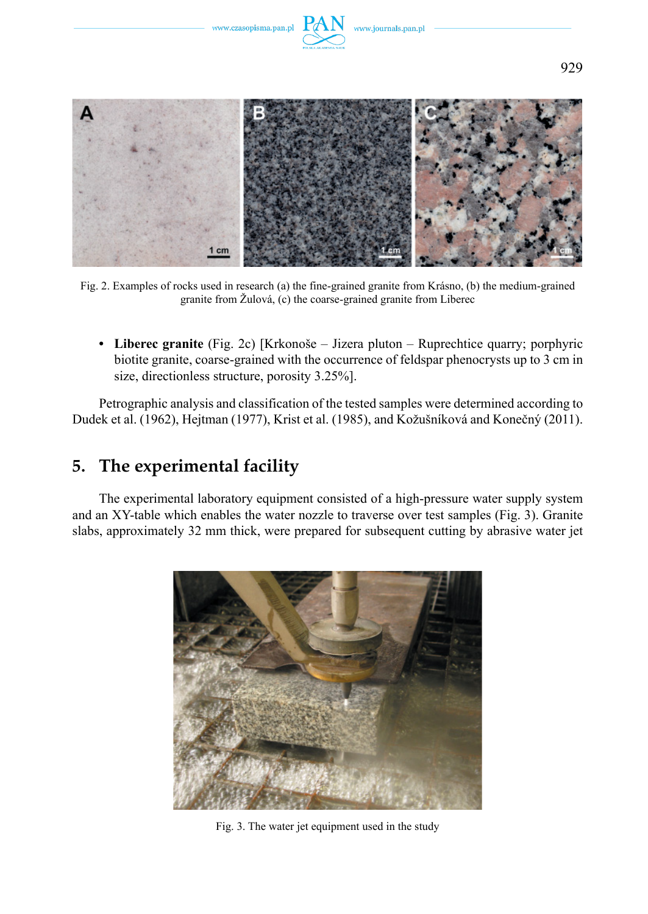





Fig. 2. Examples of rocks used in research (a) the fine-grained granite from Krásno, (b) the medium-grained granite from Žulová, (c) the coarse-grained granite from Liberec

**• Liberec granite** (Fig. 2c) [Krkonoše – Jizera pluton – Ruprechtice quarry; porphyric biotite granite, coarse-grained with the occurrence of feldspar phenocrysts up to 3 cm in size, directionless structure, porosity 3.25%].

Petrographic analysis and classification of the tested samples were determined according to Dudek et al. (1962), Hejtman (1977), Krist et al. (1985), and Kožušníková and Konečný (2011).

## **5. The experimental facility**

The experimental laboratory equipment consisted of a high-pressure water supply system and an XY-table which enables the water nozzle to traverse over test samples (Fig. 3). Granite slabs, approximately 32 mm thick, were prepared for subsequent cutting by abrasive water jet



Fig. 3. The water jet equipment used in the study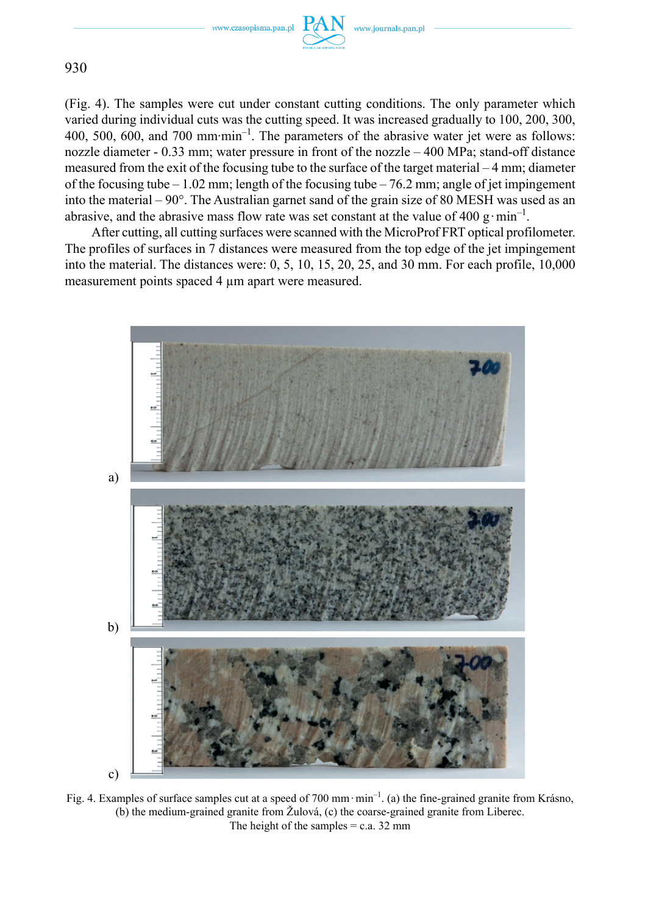www.journals.pan.pl



930

(Fig. 4). The samples were cut under constant cutting conditions. The only parameter which varied during individual cuts was the cutting speed. It was increased gradually to 100, 200, 300, 400, 500, 600, and 700 mm·min<sup>-1</sup>. The parameters of the abrasive water jet were as follows: nozzle diameter - 0.33 mm; water pressure in front of the nozzle – 400 MPa; stand-off distance measured from the exit of the focusing tube to the surface of the target material – 4 mm; diameter of the focusing tube – 1.02 mm; length of the focusing tube – 76.2 mm; angle of jet impingement into the material – 90°. The Australian garnet sand of the grain size of 80 MESH was used as an abrasive, and the abrasive mass flow rate was set constant at the value of 400 g·min<sup>-1</sup>.

After cutting, all cutting surfaces were scanned with the MicroProf FRT optical profilometer. The profiles of surfaces in 7 distances were measured from the top edge of the jet impingement into the material. The distances were: 0, 5, 10, 15, 20, 25, and 30 mm. For each profile, 10,000 measurement points spaced 4 μm apart were measured.



Fig. 4. Examples of surface samples cut at a speed of 700 mm·min<sup>-1</sup>. (a) the fine-grained granite from Krásno, (b) the medium-grained granite from Žulová, (c) the coarse-grained granite from Liberec. The height of the samples  $= c.a. 32$  mm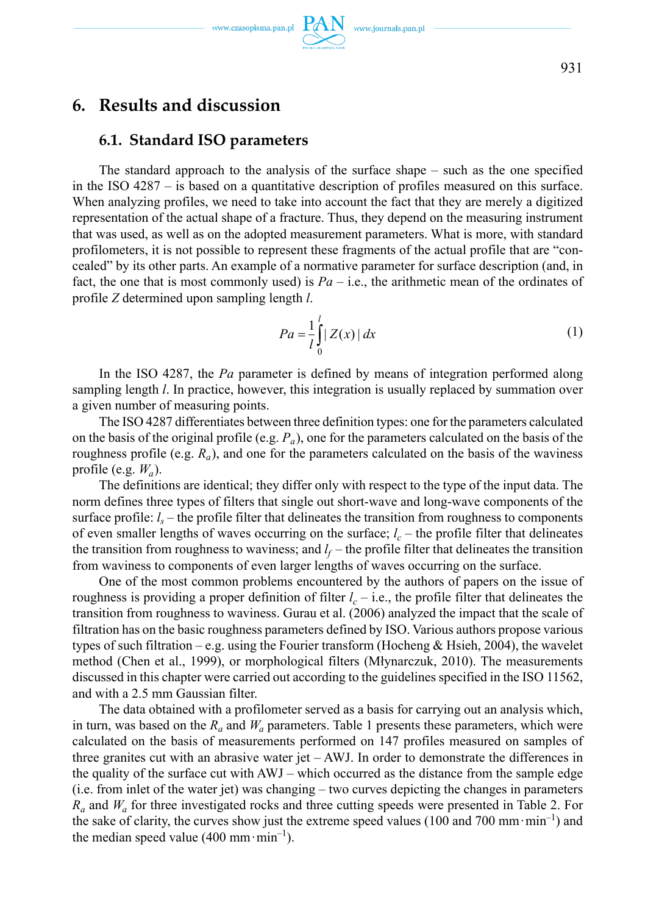### **6. Results and discussion**

### **6.1. Standard ISO parameters**

The standard approach to the analysis of the surface shape – such as the one specified in the ISO 4287 – is based on a quantitative description of profiles measured on this surface. When analyzing profiles, we need to take into account the fact that they are merely a digitized representation of the actual shape of a fracture. Thus, they depend on the measuring instrument that was used, as well as on the adopted measurement parameters. What is more, with standard profilometers, it is not possible to represent these fragments of the actual profile that are "concealed" by its other parts. An example of a normative parameter for surface description (and, in fact, the one that is most commonly used) is  $Pa - i.e.,$  the arithmetic mean of the ordinates of profile *Z* determined upon sampling length *l*.

$$
Pa = \frac{1}{l} \int_{0}^{l} |Z(x)| dx
$$
 (1)

In the ISO 4287, the *Pa* parameter is defined by means of integration performed along sampling length *l*. In practice, however, this integration is usually replaced by summation over a given number of measuring points.

The ISO 4287 differentiates between three definition types: one for the parameters calculated on the basis of the original profile (e.g.  $P_a$ ), one for the parameters calculated on the basis of the roughness profile (e.g. *Ra*), and one for the parameters calculated on the basis of the waviness profile (e.g.  $W_a$ ).

The definitions are identical; they differ only with respect to the type of the input data. The norm defines three types of filters that single out short-wave and long-wave components of the surface profile:  $l<sub>s</sub>$  – the profile filter that delineates the transition from roughness to components of even smaller lengths of waves occurring on the surface;  $l_c$  – the profile filter that delineates the transition from roughness to waviness; and  $l_f$  – the profile filter that delineates the transition from waviness to components of even larger lengths of waves occurring on the surface.

One of the most common problems encountered by the authors of papers on the issue of roughness is providing a proper definition of filter  $l_c$  – i.e., the profile filter that delineates the transition from roughness to waviness. Gurau et al. (2006) analyzed the impact that the scale of filtration has on the basic roughness parameters defined by ISO. Various authors propose various types of such filtration – e.g. using the Fourier transform (Hocheng & Hsieh, 2004), the wavelet method (Chen et al., 1999), or morphological filters (Młynarczuk, 2010). The measurements discussed in this chapter were carried out according to the guidelines specified in the ISO 11562, and with a 2.5 mm Gaussian filter.

The data obtained with a profilometer served as a basis for carrying out an analysis which, in turn, was based on the  $R_a$  and  $W_a$  parameters. Table 1 presents these parameters, which were calculated on the basis of measurements performed on 147 profiles measured on samples of three granites cut with an abrasive water jet  $-$  AWJ. In order to demonstrate the differences in the quality of the surface cut with AWJ – which occurred as the distance from the sample edge (i.e. from inlet of the water jet) was changing – two curves depicting the changes in parameters  $R_a$  and  $W_a$  for three investigated rocks and three cutting speeds were presented in Table 2. For the sake of clarity, the curves show just the extreme speed values (100 and 700 mm $\cdot$ min<sup>-1</sup>) and the median speed value (400 mm·min<sup>-1</sup>).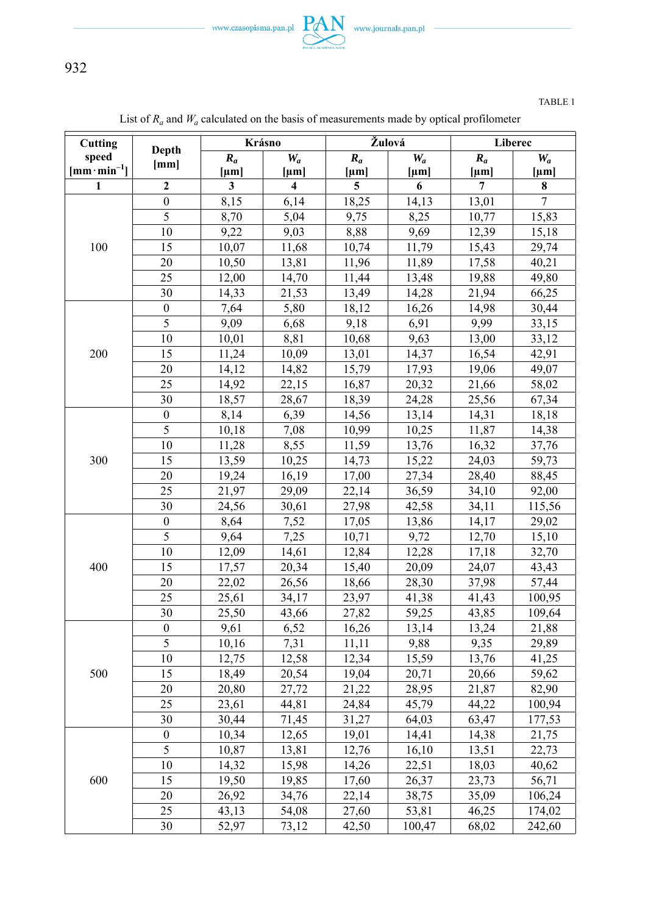$-$  www.czasopisma.pan.pl  $\underbrace{\text{PAN}}_{\text{mean automique}}$  www.journals.pan.pl  $-$ 

932

| Cutting              | Depth<br>[mm]    | Krásno    |                         | Žulová       |           | Liberec        |           |
|----------------------|------------------|-----------|-------------------------|--------------|-----------|----------------|-----------|
| speed                |                  | $R_a$     | $W_a$                   | $R_a$        | $W_a$     | $R_a$          | $W_a$     |
| $[mm\cdot min^{-1}]$ |                  | ${\mu}$ m | ${\mu}$ m               | ${\rm [µm]}$ | ${\mu}$ m | ${\mu}$ m      | ${\mu}$ m |
| $\mathbf{1}$         | $\mathbf{2}$     | 3         | $\overline{\mathbf{4}}$ | 5            | 6         | $\overline{7}$ | 8         |
|                      | $\boldsymbol{0}$ | 8,15      | 6,14                    | 18,25        | 14,13     | 13,01          | $\tau$    |
| 100                  | $\overline{5}$   | 8,70      | 5,04                    | 9,75         | 8,25      | 10,77          | 15,83     |
|                      | 10               | 9,22      | 9,03                    | 8,88         | 9,69      | 12,39          | 15,18     |
|                      | 15               | 10,07     | 11,68                   | 10,74        | 11,79     | 15,43          | 29,74     |
|                      | 20               | 10,50     | 13,81                   | 11,96        | 11,89     | 17,58          | 40,21     |
|                      | 25               | 12,00     | 14,70                   | 11,44        | 13,48     | 19,88          | 49,80     |
|                      | 30               | 14,33     | 21,53                   | 13,49        | 14,28     | 21,94          | 66,25     |
|                      | $\boldsymbol{0}$ | 7,64      | 5,80                    | 18,12        | 16,26     | 14,98          | 30,44     |
|                      | $\overline{5}$   | 9,09      | 6,68                    | 9,18         | 6,91      | 9,99           | 33,15     |
|                      | 10               | 10,01     | 8,81                    | 10,68        | 9,63      | 13,00          | 33,12     |
| 200                  | 15               | 11,24     | 10,09                   | 13,01        | 14,37     | 16,54          | 42,91     |
|                      | 20               | 14,12     | 14,82                   | 15,79        | 17,93     | 19,06          | 49,07     |
|                      | 25               | 14,92     | 22,15                   | 16,87        | 20,32     | 21,66          | 58,02     |
|                      | 30               | 18,57     | 28,67                   | 18,39        | 24,28     | 25,56          | 67,34     |
|                      | $\boldsymbol{0}$ | 8,14      | 6,39                    | 14,56        | 13,14     | 14,31          | 18,18     |
|                      | 5                | 10,18     | 7,08                    | 10,99        | 10,25     | 11,87          | 14,38     |
|                      | 10               | 11,28     | 8,55                    | 11,59        | 13,76     | 16,32          | 37,76     |
| 300                  | 15               | 13,59     | 10,25                   | 14,73        | 15,22     | 24,03          | 59,73     |
|                      | 20               | 19,24     | 16,19                   | 17,00        | 27,34     | 28,40          | 88,45     |
|                      | 25               | 21,97     | 29,09                   | 22,14        | 36,59     | 34,10          | 92,00     |
|                      | 30               | 24,56     | 30,61                   | 27,98        | 42,58     | 34,11          | 115,56    |
|                      | $\boldsymbol{0}$ | 8,64      | 7,52                    | 17,05        | 13,86     | 14,17          | 29,02     |
|                      | 5                | 9,64      | 7,25                    | 10,71        | 9,72      | 12,70          | 15,10     |
|                      | 10               | 12,09     | 14,61                   | 12,84        | 12,28     | 17,18          | 32,70     |
| 400                  | 15               | 17,57     | 20,34                   | 15,40        | 20,09     | 24,07          | 43,43     |
|                      | 20               | 22,02     | 26,56                   | 18,66        | 28,30     | 37,98          | 57,44     |
|                      | 25               | 25,61     | 34,17                   | 23,97        | 41,38     | 41,43          | 100,95    |
|                      | 30               | 25,50     | 43,66                   | 27,82        | 59,25     | 43,85          | 109,64    |
|                      | $\boldsymbol{0}$ | 9,61      | 6,52                    | 16,26        | 13,14     | 13,24          | 21,88     |
|                      | 5                | 10,16     | 7,31                    | 11,11        | 9,88      | 9,35           | 29,89     |
|                      | 10               | 12,75     | 12,58                   | 12,34        | 15,59     | 13,76          | 41,25     |
| 500                  | 15               | 18,49     | 20,54                   | 19,04        | 20,71     | 20,66          | 59,62     |
|                      | 20               | 20,80     | 27,72                   | 21,22        | 28,95     | 21,87          | 82,90     |
|                      | 25               | 23,61     | 44,81                   | 24,84        | 45,79     | 44,22          | 100,94    |
|                      | 30               | 30,44     | 71,45                   | 31,27        | 64,03     | 63,47          | 177,53    |
| 600                  | $\boldsymbol{0}$ | 10,34     | 12,65                   | 19,01        | 14,41     | 14,38          | 21,75     |
|                      | 5                | 10,87     | 13,81                   | 12,76        | 16,10     | 13,51          | 22,73     |
|                      | $10\,$           | 14,32     | 15,98                   | 14,26        | 22,51     | 18,03          | 40,62     |
|                      | 15               | 19,50     | 19,85                   | 17,60        | 26,37     | 23,73          | 56,71     |
|                      | 20               | 26,92     | 34,76                   | 22,14        | 38,75     | 35,09          | 106,24    |
|                      | 25               | 43,13     | 54,08                   | 27,60        | 53,81     | 46,25          | 174,02    |
|                      | 30               | 52,97     | 73,12                   | 42,50        | 100,47    | 68,02          | 242,60    |

List of  $R_a$  and  $W_a$  calculated on the basis of measurements made by optical profilometer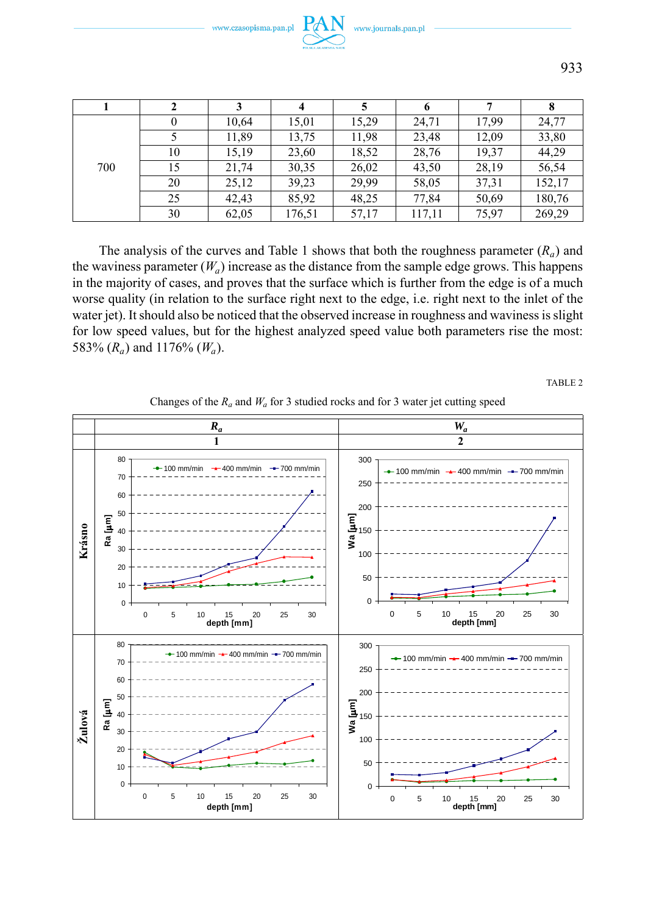|     |    | 3     | 4      |       | 6      |       |        |
|-----|----|-------|--------|-------|--------|-------|--------|
| 700 | 0  | 10,64 | 15,01  | 15,29 | 24,71  | 17.99 | 24,77  |
|     |    | 11.89 | 13,75  | 11.98 | 23.48  | 12.09 | 33,80  |
|     | 10 | 15,19 | 23,60  | 18,52 | 28,76  | 19,37 | 44,29  |
|     | 15 | 21,74 | 30,35  | 26,02 | 43,50  | 28,19 | 56,54  |
|     | 20 | 25,12 | 39,23  | 29,99 | 58,05  | 37,31 | 152,17 |
|     | 25 | 42.43 | 85,92  | 48.25 | 77,84  | 50,69 | 180,76 |
|     | 30 | 62,05 | 176,51 | 57,17 | 117,11 | 75,97 | 269,29 |

The analysis of the curves and Table 1 shows that both the roughness parameter  $(R_a)$  and the waviness parameter  $(W_a)$  increase as the distance from the sample edge grows. This happens in the majority of cases, and proves that the surface which is further from the edge is of a much worse quality (in relation to the surface right next to the edge, i.e. right next to the inlet of the water jet). It should also be noticed that the observed increase in roughness and waviness is slight for low speed values, but for the highest analyzed speed value both parameters rise the most: 583% (*Ra*) and 1176% (*Wa*).

TABLE 2



Changes of the  $R_a$  and  $W_a$  for 3 studied rocks and for 3 water jet cutting speed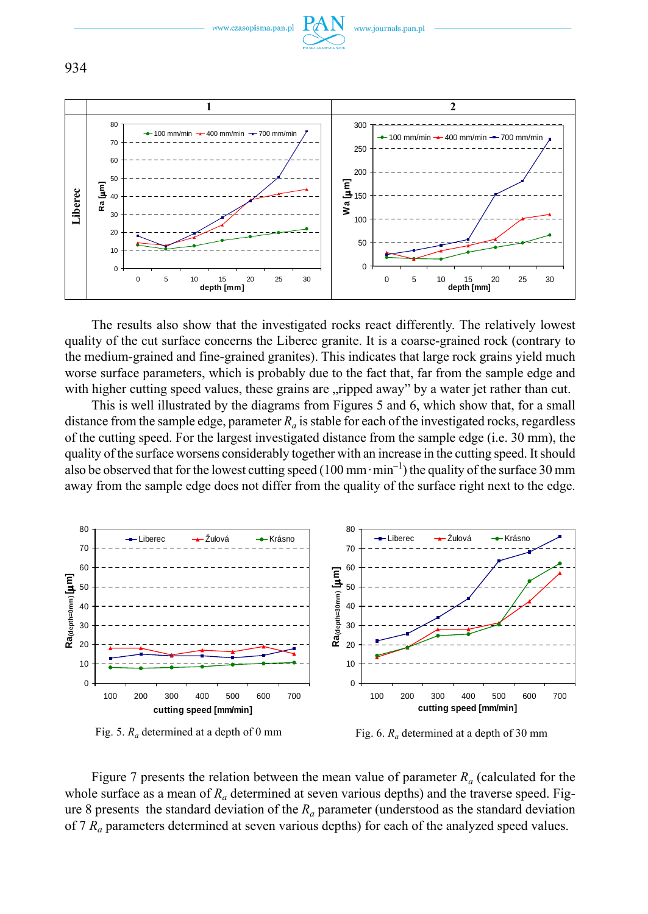

The results also show that the investigated rocks react differently. The relatively lowest quality of the cut surface concerns the Liberec granite. It is a coarse-grained rock (contrary to the medium-grained and fine-grained granites). This indicates that large rock grains yield much worse surface parameters, which is probably due to the fact that, far from the sample edge and with higher cutting speed values, these grains are "ripped away" by a water jet rather than cut.

This is well illustrated by the diagrams from Figures 5 and 6, which show that, for a small distance from the sample edge, parameter  $R_a$  is stable for each of the investigated rocks, regardless of the cutting speed. For the largest investigated distance from the sample edge (i.e. 30 mm), the quality of the surface worsens considerably together with an increase in the cutting speed. It should also be observed that for the lowest cutting speed (100 mm $\cdot$ min<sup>-1</sup>) the quality of the surface 30 mm away from the sample edge does not differ from the quality of the surface right next to the edge.





Figure 7 presents the relation between the mean value of parameter  $R_a$  (calculated for the whole surface as a mean of  $R_a$  determined at seven various depths) and the traverse speed. Figure 8 presents the standard deviation of the *Ra* parameter (understood as the standard deviation of 7 *Ra* parameters determined at seven various depths) for each of the analyzed speed values.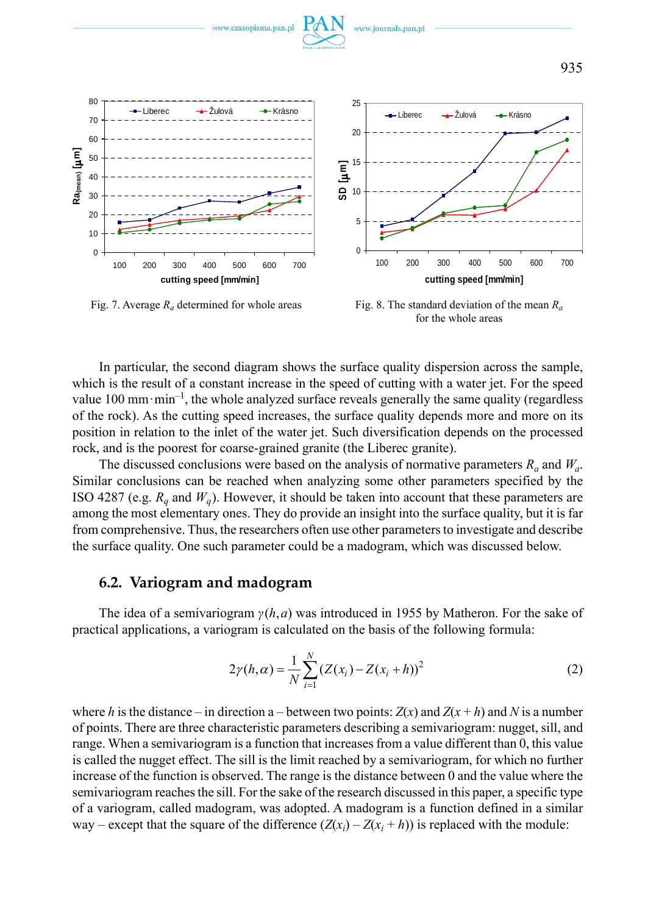

Fig. 7. Average *Ra* determined for whole areas

Fig. 8. The standard deviation of the mean *Ra* for the whole areas

In particular, the second diagram shows the surface quality dispersion across the sample, which is the result of a constant increase in the speed of cutting with a water jet. For the speed value 100 mm·min<sup>-1</sup>, the whole analyzed surface reveals generally the same quality (regardless of the rock). As the cutting speed increases, the surface quality depends more and more on its position in relation to the inlet of the water jet. Such diversification depends on the processed rock, and is the poorest for coarse-grained granite (the Liberec granite).

The discussed conclusions were based on the analysis of normative parameters  $R_a$  and  $W_a$ . Similar conclusions can be reached when analyzing some other parameters specified by the ISO 4287 (e.g.  $R<sub>a</sub>$  and  $W<sub>a</sub>$ ). However, it should be taken into account that these parameters are among the most elementary ones. They do provide an insight into the surface quality, but it is far from comprehensive. Thus, the researchers often use other parameters to investigate and describe the surface quality. One such parameter could be a madogram, which was discussed below.

### **6.2. Variogram and madogram**

The idea of a semivariogram *γ*(*h*,*a*) was introduced in 1955 by Matheron. For the sake of practical applications, a variogram is calculated on the basis of the following formula:

$$
2\gamma(h,\alpha) = \frac{1}{N} \sum_{i=1}^{N} (Z(x_i) - Z(x_i + h))^2
$$
 (2)

where *h* is the distance – in direction a – between two points:  $Z(x)$  and  $Z(x + h)$  and *N* is a number of points. There are three characteristic parameters describing a semivariogram: nugget, sill, and range. When a semivariogram is a function that increases from a value different than 0, this value is called the nugget effect. The sill is the limit reached by a semivariogram, for which no further increase of the function is observed. The range is the distance between 0 and the value where the semivariogram reaches the sill. For the sake of the research discussed in this paper, a specific type of a variogram, called madogram, was adopted. A madogram is a function defined in a similar way – except that the square of the difference  $(Z(x_i) - Z(x_i + h))$  is replaced with the module: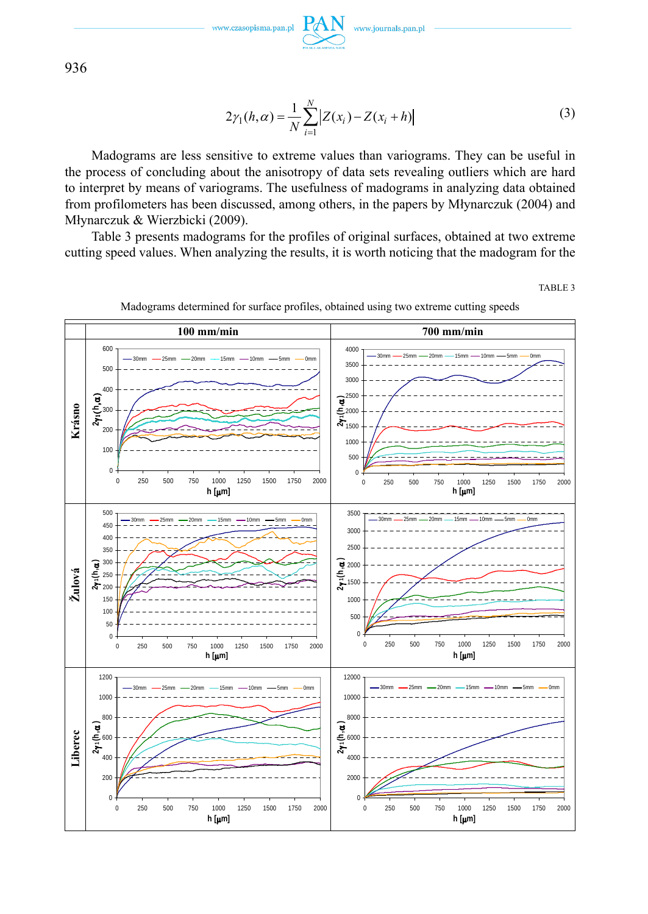$$
2\gamma_1(h,\alpha) = \frac{1}{N} \sum_{i=1}^{N} |Z(x_i) - Z(x_i + h)|
$$
\n(3)

Madograms are less sensitive to extreme values than variograms. They can be useful in the process of concluding about the anisotropy of data sets revealing outliers which are hard to interpret by means of variograms. The usefulness of madograms in analyzing data obtained from profilometers has been discussed, among others, in the papers by Młynarczuk (2004) and Młynarczuk & Wierzbicki (2009).

Table 3 presents madograms for the profiles of original surfaces, obtained at two extreme cutting speed values. When analyzing the results, it is worth noticing that the madogram for the

TABLE 3



Madograms determined for surface profiles, obtained using two extreme cutting speeds

936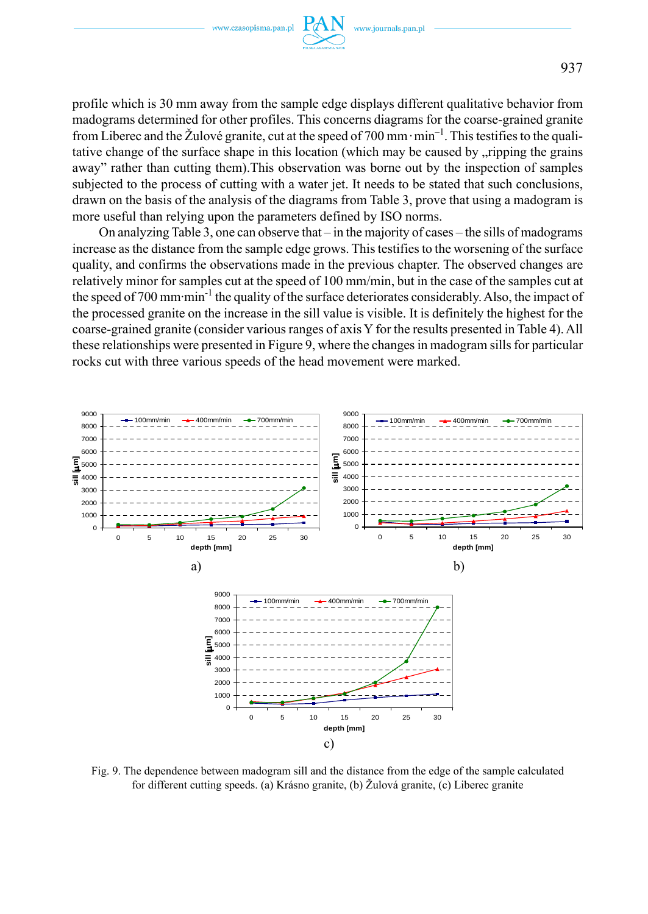

profile which is 30 mm away from the sample edge displays different qualitative behavior from madograms determined for other profiles. This concerns diagrams for the coarse-grained granite from Liberec and the Žulové granite, cut at the speed of 700 mm $\cdot$ min<sup>-1</sup>. This testifies to the qualitative change of the surface shape in this location (which may be caused by , ripping the grains away" rather than cutting them).This observation was borne out by the inspection of samples subjected to the process of cutting with a water jet. It needs to be stated that such conclusions, drawn on the basis of the analysis of the diagrams from Table 3, prove that using a madogram is more useful than relying upon the parameters defined by ISO norms.

On analyzing Table 3, one can observe that – in the majority of cases – the sills of madograms increase as the distance from the sample edge grows. This testifies to the worsening of the surface quality, and confirms the observations made in the previous chapter. The observed changes are relatively minor for samples cut at the speed of 100 mm/min, but in the case of the samples cut at the speed of 700 mm·min<sup>-1</sup> the quality of the surface deteriorates considerably. Also, the impact of the processed granite on the increase in the sill value is visible. It is definitely the highest for the coarse-grained granite (consider various ranges of axis Y for the results presented in Table 4). All these relationships were presented in Figure 9, where the changes in madogram sills for particular rocks cut with three various speeds of the head movement were marked.



Fig. 9. The dependence between madogram sill and the distance from the edge of the sample calculated for different cutting speeds. (a) Krásno granite, (b) Žulová granite, (c) Liberec granite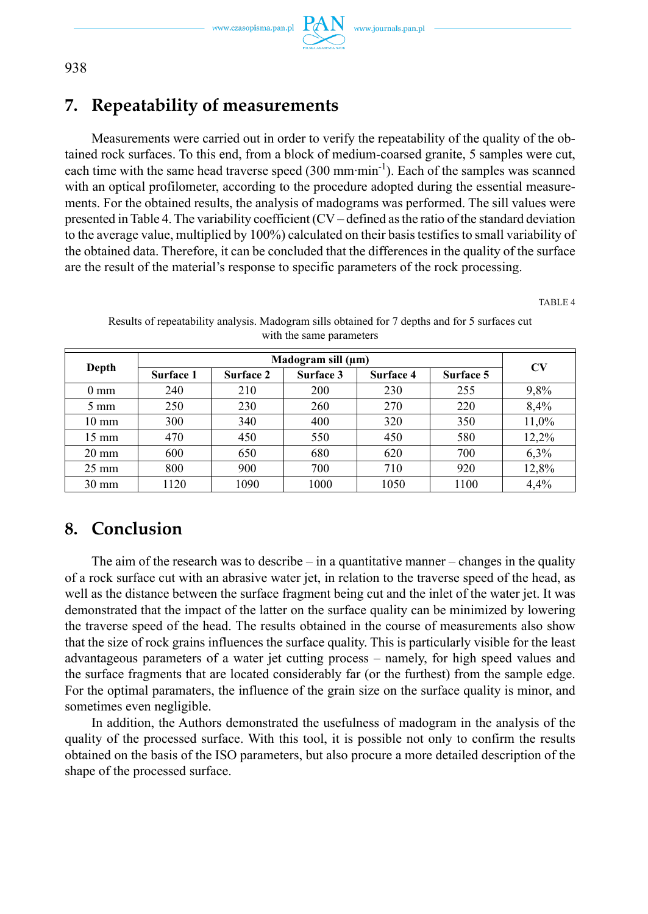www.journals.pan.pl



# **7. Repeatability of measurements**

Measurements were carried out in order to verify the repeatability of the quality of the obtained rock surfaces. To this end, from a block of medium-coarsed granite, 5 samples were cut, each time with the same head traverse speed  $(300 \text{ mm} \cdot \text{min}^{-1})$ . Each of the samples was scanned with an optical profilometer, according to the procedure adopted during the essential measurements. For the obtained results, the analysis of madograms was performed. The sill values were presented in Table 4. The variability coefficient (CV – defined as the ratio of the standard deviation to the average value, multiplied by 100%) calculated on their basis testifies to small variability of the obtained data. Therefore, it can be concluded that the differences in the quality of the surface are the result of the material's response to specific parameters of the rock processing.

TABLE 4

| Depth           |           | CV        |           |           |           |       |
|-----------------|-----------|-----------|-----------|-----------|-----------|-------|
|                 | Surface 1 | Surface 2 | Surface 3 | Surface 4 | Surface 5 |       |
| $0 \text{ mm}$  | 240       | 210       | 200       | 230       | 255       | 9,8%  |
| $5 \text{ mm}$  | 250       | 230       | 260       | 270       | 220       | 8,4%  |
| $10 \text{ mm}$ | 300       | 340       | 400       | 320       | 350       | 11,0% |
| $15 \text{ mm}$ | 470       | 450       | 550       | 450       | 580       | 12,2% |
| $20 \text{ mm}$ | 600       | 650       | 680       | 620       | 700       | 6.3%  |
| $25 \text{ mm}$ | 800       | 900       | 700       | 710       | 920       | 12,8% |
| $30 \text{ mm}$ | 1120      | 1090      | 1000      | 1050      | 1100      | 4,4%  |

Results of repeatability analysis. Madogram sills obtained for 7 depths and for 5 surfaces cut with the same parameters

## **8. Conclusion**

The aim of the research was to describe  $-\text{ in a quantitative manner} - \text{changes in the quality}$ of a rock surface cut with an abrasive water jet, in relation to the traverse speed of the head, as well as the distance between the surface fragment being cut and the inlet of the water jet. It was demonstrated that the impact of the latter on the surface quality can be minimized by lowering the traverse speed of the head. The results obtained in the course of measurements also show that the size of rock grains influences the surface quality. This is particularly visible for the least advantageous parameters of a water jet cutting process – namely, for high speed values and the surface fragments that are located considerably far (or the furthest) from the sample edge. For the optimal paramaters, the influence of the grain size on the surface quality is minor, and sometimes even negligible.

In addition, the Authors demonstrated the usefulness of madogram in the analysis of the quality of the processed surface. With this tool, it is possible not only to confirm the results obtained on the basis of the ISO parameters, but also procure a more detailed description of the shape of the processed surface.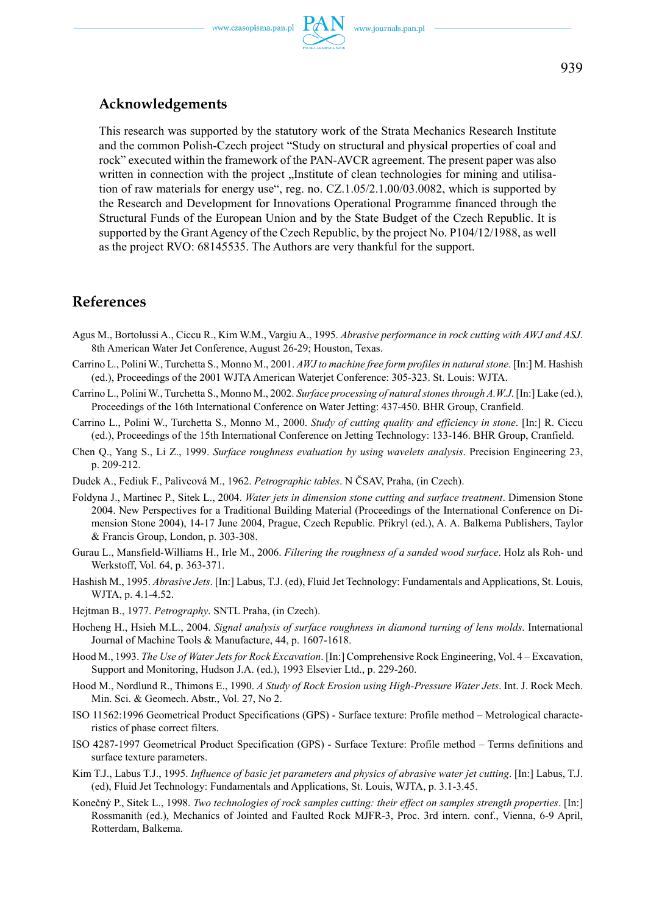### **Acknowledgements**

This research was supported by the statutory work of the Strata Mechanics Research Institute and the common Polish-Czech project "Study on structural and physical properties of coal and rock" executed within the framework of the PAN-AVCR agreement. The present paper was also written in connection with the project "Institute of clean technologies for mining and utilisation of raw materials for energy use", reg. no. CZ.1.05/2.1.00/03.0082, which is supported by the Research and Development for Innovations Operational Programme financed through the Structural Funds of the European Union and by the State Budget of the Czech Republic. It is supported by the Grant Agency of the Czech Republic, by the project No. P104/12/1988, as well as the project RVO: 68145535. The Authors are very thankful for the support.

### **References**

- Agus M., Bortolussi A., Ciccu R., Kim W.M., Vargiu A., 1995. *Abrasive performance in rock cutting with AWJ and ASJ*. 8th American Water Jet Conference, August 26-29; Houston, Texas.
- Carrino L., Polini W., Turchetta S., Monno M., 2001. *AWJ to machine free form profiles in natural stone*. [In:] M. Hashish (ed.), Proceedings of the 2001 WJTA American Waterjet Conference: 305-323. St. Louis: WJTA.
- Carrino L., Polini W., Turchetta S., Monno M., 2002. *Surface processing of natural stones through A.W.J*. [In:] Lake (ed.), Proceedings of the 16th International Conference on Water Jetting: 437-450. BHR Group, Cranfield.
- Carrino L., Polini W., Turchetta S., Monno M., 2000. *Study of cutting quality and efficiency in stone*. [In:] R. Ciccu (ed.), Proceedings of the 15th International Conference on Jetting Technology: 133-146. BHR Group, Cranfield.
- Chen Q., Yang S., Li Z., 1999. *Surface roughness evaluation by using wavelets analysis*. Precision Engineering 23, p. 209-212.
- Dudek A., Fediuk F., Palivcová M., 1962. *Petrographic tables*. N ČSAV, Praha, (in Czech).
- Foldyna J., Martinec P., Sitek L., 2004. *Water jets in dimension stone cutting and surface treatment*. Dimension Stone 2004. New Perspectives for a Traditional Building Material (Proceedings of the International Conference on Dimension Stone 2004), 14-17 June 2004, Prague, Czech Republic. Přikryl (ed.), A. A. Balkema Publishers, Taylor & Francis Group, London, p. 303-308.
- Gurau L., Mansfield-Williams H., Irle M., 2006. *Filtering the roughness of a sanded wood surface*. Holz als Roh- und Werkstoff, Vol. 64, p. 363-371.
- Hashish M., 1995. *Abrasive Jets*. [In:] Labus, T.J. (ed), Fluid Jet Technology: Fundamentals and Applications, St. Louis, WJTA, p. 4.1-4.52.
- Hejtman B., 1977. *Petrography*. SNTL Praha, (in Czech).
- Hocheng H., Hsieh M.L., 2004. *Signal analysis of surface roughness in diamond turning of lens molds*. International Journal of Machine Tools & Manufacture, 44, p. 1607-1618.
- Hood M., 1993. *The Use of Water Jets for Rock Excavation*. [In:] Comprehensive Rock Engineering, Vol. 4 Excavation, Support and Monitoring, Hudson J.A. (ed.), 1993 Elsevier Ltd., p. 229-260.
- Hood M., Nordlund R., Thimons E., 1990. *A Study of Rock Erosion using High-Pressure Water Jets*. Int. J. Rock Mech. Min. Sci. & Geomech. Abstr., Vol. 27, No 2.
- ISO 11562:1996 Geometrical Product Specifications (GPS) Surface texture: Profile method Metrological characteristics of phase correct filters.
- ISO 4287-1997 Geometrical Product Specification (GPS) Surface Texture: Profile method Terms definitions and surface texture parameters.
- Kim T.J., Labus T.J., 1995. *Influence of basic jet parameters and physics of abrasive water jet cutting*. [In:] Labus, T.J. (ed), Fluid Jet Technology: Fundamentals and Applications, St. Louis, WJTA, p. 3.1-3.45.
- Konečný P., Sitek L., 1998. *Two technologies of rock samples cutting: their effect on samples strength properties*. [In:] Rossmanith (ed.), Mechanics of Jointed and Faulted Rock MJFR-3, Proc. 3rd intern. conf., Vienna, 6-9 April, Rotterdam, Balkema.